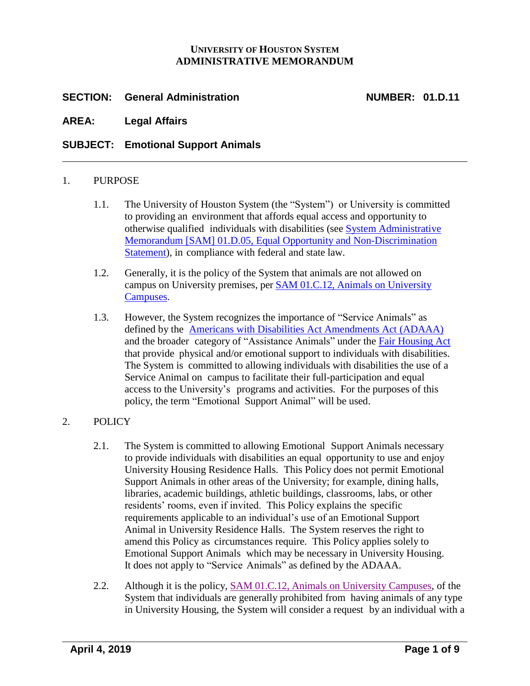### **UNIVERSITY OF HOUSTON SYSTEM ADMINISTRATIVE MEMORANDUM**

# **SECTION: General Administration NUMBER: 01.D.11**

**AREA: Legal Affairs**

## **SUBJECT: Emotional Support Animals**

### 1. PURPOSE

- 1.1. The University of Houston System (the "System") or University is committed to providing an environment that affords equal access and opportunity to otherwise qualified individuals with disabilities (see [System Administrative](http://www.uh.edu/af/universityservices/policies/sam/1GenAdmin/1D5.pdf) [Memorandum](http://www.uh.edu/af/universityservices/policies/sam/1GenAdmin/1D5.pdf) [SAM] 01.D.05, Equal Opportunity and [Non-Discrimination](http://www.uhsystem.edu/compliance-ethics/_docs/sam/01/1d5.pdf)  [Statement\)](http://www.uhsystem.edu/compliance-ethics/_docs/sam/01/1d5.pdf), in compliance with federal and state law.
- 1.2. Generally, it is the policy of the System that animals are not allowed on campus on University premises, per [SAM 01.C.12, Animals on University](http://www.uhsystem.edu/compliance-ethics/_docs/sam/01/1c12.pdf)  [Campuses.](http://www.uhsystem.edu/compliance-ethics/_docs/sam/01/1c12.pdf)
- 1.3. However, the System recognizes the importance of "Service Animals" as defined by the Americans [with Disabilities](https://www.eeoc.gov/laws/statutes/adaaa.cfm) Act Amendments Act (ADAAA) and the broader category of "Assistance Animals" under the Fair [Housing](https://www.justice.gov/crt/fair-housing-act-1) Act that provide physical and/or emotional support to individuals with disabilities. The System is committed to allowing individuals with disabilities the use of a Service Animal on campus to facilitate their full-participation and equal access to the University's programs and activities. For the purposes of this policy, the term "Emotional Support Animal" will be used.

# 2. POLICY

- 2.1. The System is committed to allowing Emotional Support Animals necessary to provide individuals with disabilities an equal opportunity to use and enjoy University Housing Residence Halls. This Policy does not permit Emotional Support Animals in other areas of the University; for example, dining halls, libraries, academic buildings, athletic buildings, classrooms, labs, or other residents' rooms, even if invited. This Policy explains the specific requirements applicable to an individual's use of an Emotional Support Animal in University Residence Halls. The System reserves the right to amend this Policy as circumstances require. This Policy applies solely to Emotional Support Animals which may be necessary in University Housing. It does not apply to "Service Animals" as defined by the ADAAA.
- 2.2. Although it is the [policy,](http://www.uh.edu/af/universityservices/policies/sam/1GenAdmin/1C12.pdf) [SAM 01.C.12, Animals on University Campuses,](http://www.uhsystem.edu/compliance-ethics/_docs/sam/01/1c12.pdf) of the System that individuals are generally prohibited from having animals of any type in University Housing, the System will consider a request by an individual with a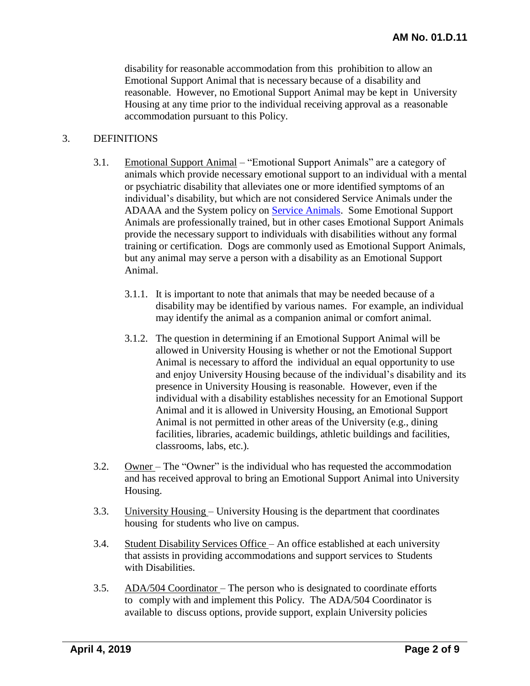disability for reasonable accommodation from this prohibition to allow an Emotional Support Animal that is necessary because of a disability and reasonable. However, no Emotional Support Animal may be kept in University Housing at any time prior to the individual receiving approval as a reasonable accommodation pursuant to this Policy.

#### 3. DEFINITIONS

- 3.1. Emotional Support Animal "Emotional Support Animals" are a category of animals which provide necessary emotional support to an individual with a mental or psychiatric disability that alleviates one or more identified symptoms of an individual's disability, but which are not considered Service Animals under the ADAAA and the System policy on [Service Animals.](http://www.uhsystem.edu/compliance-ethics/_docs/sam/01/1d12.pdf) Some Emotional Support Animals are professionally trained, but in other cases Emotional Support Animals provide the necessary support to individuals with disabilities without any formal training or certification. Dogs are commonly used as Emotional Support Animals, but any animal may serve a person with a disability as an Emotional Support Animal.
	- 3.1.1. It is important to note that animals that may be needed because of a disability may be identified by various names. For example, an individual may identify the animal as a companion animal or comfort animal.
	- 3.1.2. The question in determining if an Emotional Support Animal will be allowed in University Housing is whether or not the Emotional Support Animal is necessary to afford the individual an equal opportunity to use and enjoy University Housing because of the individual's disability and its presence in University Housing is reasonable. However, even if the individual with a disability establishes necessity for an Emotional Support Animal and it is allowed in University Housing, an Emotional Support Animal is not permitted in other areas of the University (e.g., dining facilities, libraries, academic buildings, athletic buildings and facilities, classrooms, labs, etc.).
- 3.2. Owner The "Owner" is the individual who has requested the accommodation and has received approval to bring an Emotional Support Animal into University Housing.
- 3.3. University Housing University Housing is the department that coordinates housing for students who live on campus.
- 3.4. Student Disability Services Office An office established at each university that assists in providing accommodations and support services to Students with Disabilities.
- 3.5. ADA/504 Coordinator The person who is designated to coordinate efforts to comply with and implement this Policy. The ADA/504 Coordinator is available to discuss options, provide support, explain University policies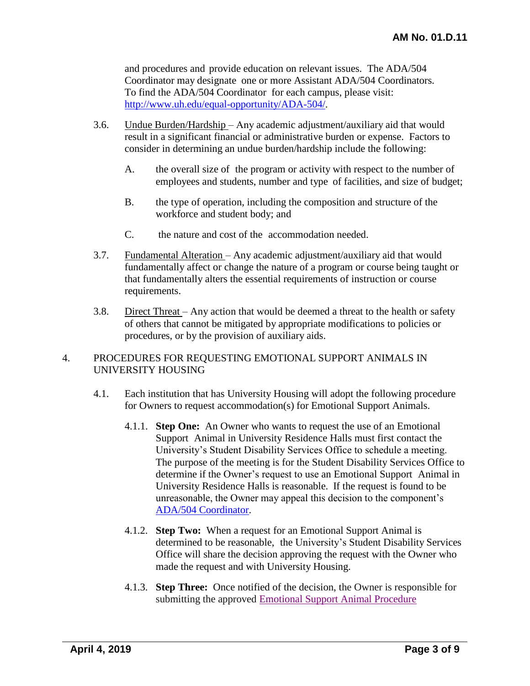and procedures and provide education on relevant issues. The ADA/504 Coordinator may designate one or more Assistant ADA/504 Coordinators. To find the ADA/504 Coordinator for each campus, please visit: [http://www.uh.edu/equal-opportunity/ADA-504/.](http://www.uh.edu/equal-opportunity/ADA-504/)

- 3.6. Undue Burden/Hardship Any academic adjustment/auxiliary aid that would result in a significant financial or administrative burden or expense. Factors to consider in determining an undue burden/hardship include the following:
	- A. the overall size of the program or activity with respect to the number of employees and students, number and type of facilities, and size of budget;
	- B. the type of operation, including the composition and structure of the workforce and student body; and
	- C. the nature and cost of the accommodation needed.
- 3.7. Fundamental Alteration Any academic adjustment/auxiliary aid that would fundamentally affect or change the nature of a program or course being taught or that fundamentally alters the essential requirements of instruction or course requirements.
- 3.8. Direct Threat Any action that would be deemed a threat to the health or safety of others that cannot be mitigated by appropriate modifications to policies or procedures, or by the provision of auxiliary aids.

## 4. PROCEDURES FOR REQUESTING EMOTIONAL SUPPORT ANIMALS IN UNIVERSITY HOUSING

- 4.1. Each institution that has University Housing will adopt the following procedure for Owners to request accommodation(s) for Emotional Support Animals.
	- 4.1.1. **Step One:** An Owner who wants to request the use of an Emotional Support Animal in University Residence Halls must first contact the University's Student Disability Services Office to schedule a meeting. The purpose of the meeting is for the Student Disability Services Office to determine if the Owner's request to use an Emotional Support Animal in University Residence Halls is reasonable. If the request is found to be unreasonable, the Owner may appeal this decision to the component's ADA/504 [Coordinator.](http://www.uh.edu/equal-opportunity/ADA-504/)
	- 4.1.2. **Step Two:** When a request for an Emotional Support Animal is determined to be reasonable, the University's Student Disability Services Office will share the decision approving the request with the Owner who made the request and with University Housing.
	- 4.1.3. **Step Three:** Once notified of the decision, the Owner is responsible for submitting the approved [Emotional Support Animal Procedure](http://www.uh.edu/housing/current-and-returning-residents/housing-resource-guide/Emotional%20Support%20Animal%20Procedure%20Acknowledgement%20and%20Information%20Form.pdf)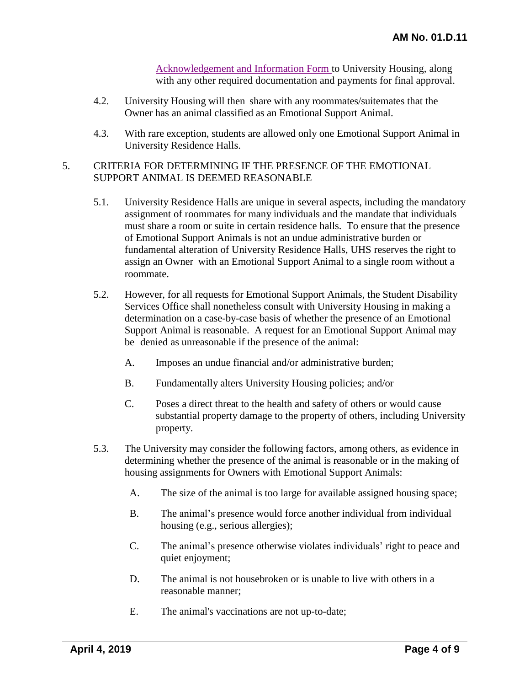[Acknowledgement and Information](http://www.uh.edu/housing/current-and-returning-residents/housing-resource-guide/Emotional%20Support%20Animal%20Procedure%20Acknowledgement%20and%20Information%20Form.pdf) Form to University Housing, along with any other required documentation and payments for final approval.

- 4.2. University Housing will then share with any roommates/suitemates that the Owner has an animal classified as an Emotional Support Animal.
- 4.3. With rare exception, students are allowed only one Emotional Support Animal in University Residence Halls.

### 5. CRITERIA FOR DETERMINING IF THE PRESENCE OF THE EMOTIONAL SUPPORT ANIMAL IS DEEMED REASONABLE

- 5.1. University Residence Halls are unique in several aspects, including the mandatory assignment of roommates for many individuals and the mandate that individuals must share a room or suite in certain residence halls. To ensure that the presence of Emotional Support Animals is not an undue administrative burden or fundamental alteration of University Residence Halls, UHS reserves the right to assign an Owner with an Emotional Support Animal to a single room without a roommate.
- 5.2. However, for all requests for Emotional Support Animals, the Student Disability Services Office shall nonetheless consult with University Housing in making a determination on a case-by-case basis of whether the presence of an Emotional Support Animal is reasonable. A request for an Emotional Support Animal may be denied as unreasonable if the presence of the animal:
	- A. Imposes an undue financial and/or administrative burden;
	- B. Fundamentally alters University Housing policies; and/or
	- C. Poses a direct threat to the health and safety of others or would cause substantial property damage to the property of others, including University property.
- 5.3. The University may consider the following factors, among others, as evidence in determining whether the presence of the animal is reasonable or in the making of housing assignments for Owners with Emotional Support Animals:
	- A. The size of the animal is too large for available assigned housing space;
	- B. The animal's presence would force another individual from individual housing (e.g., serious allergies);
	- C. The animal's presence otherwise violates individuals' right to peace and quiet enjoyment;
	- D. The animal is not housebroken or is unable to live with others in a reasonable manner;
	- E. The animal's vaccinations are not up-to-date;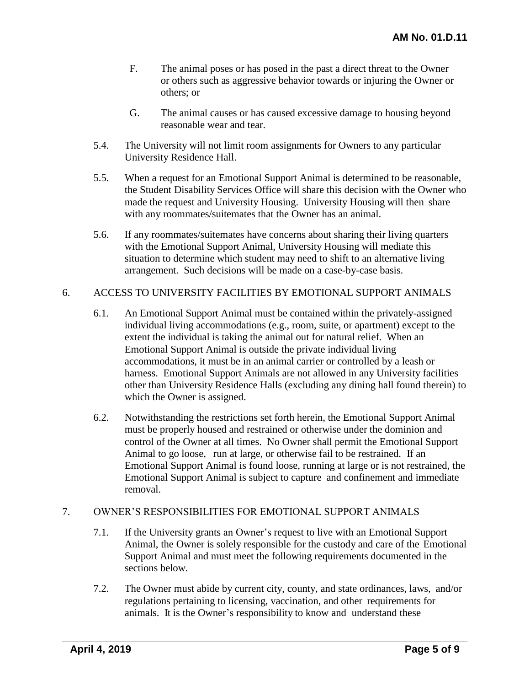- F. The animal poses or has posed in the past a direct threat to the Owner or others such as aggressive behavior towards or injuring the Owner or others; or
- G. The animal causes or has caused excessive damage to housing beyond reasonable wear and tear.
- 5.4. The University will not limit room assignments for Owners to any particular University Residence Hall.
- 5.5. When a request for an Emotional Support Animal is determined to be reasonable, the Student Disability Services Office will share this decision with the Owner who made the request and University Housing. University Housing will then share with any roommates/suitemates that the Owner has an animal.
- 5.6. If any roommates/suitemates have concerns about sharing their living quarters with the Emotional Support Animal, University Housing will mediate this situation to determine which student may need to shift to an alternative living arrangement. Such decisions will be made on a case-by-case basis.

## 6. ACCESS TO UNIVERSITY FACILITIES BY EMOTIONAL SUPPORT ANIMALS

- 6.1. An Emotional Support Animal must be contained within the privately-assigned individual living accommodations (e.g., room, suite, or apartment) except to the extent the individual is taking the animal out for natural relief. When an Emotional Support Animal is outside the private individual living accommodations, it must be in an animal carrier or controlled by a leash or harness. Emotional Support Animals are not allowed in any University facilities other than University Residence Halls (excluding any dining hall found therein) to which the Owner is assigned.
- 6.2. Notwithstanding the restrictions set forth herein, the Emotional Support Animal must be properly housed and restrained or otherwise under the dominion and control of the Owner at all times. No Owner shall permit the Emotional Support Animal to go loose, run at large, or otherwise fail to be restrained. If an Emotional Support Animal is found loose, running at large or is not restrained, the Emotional Support Animal is subject to capture and confinement and immediate removal.

## 7. OWNER'S RESPONSIBILITIES FOR EMOTIONAL SUPPORT ANIMALS

- 7.1. If the University grants an Owner's request to live with an Emotional Support Animal, the Owner is solely responsible for the custody and care of the Emotional Support Animal and must meet the following requirements documented in the sections below.
- 7.2. The Owner must abide by current city, county, and state ordinances, laws, and/or regulations pertaining to licensing, vaccination, and other requirements for animals. It is the Owner's responsibility to know and understand these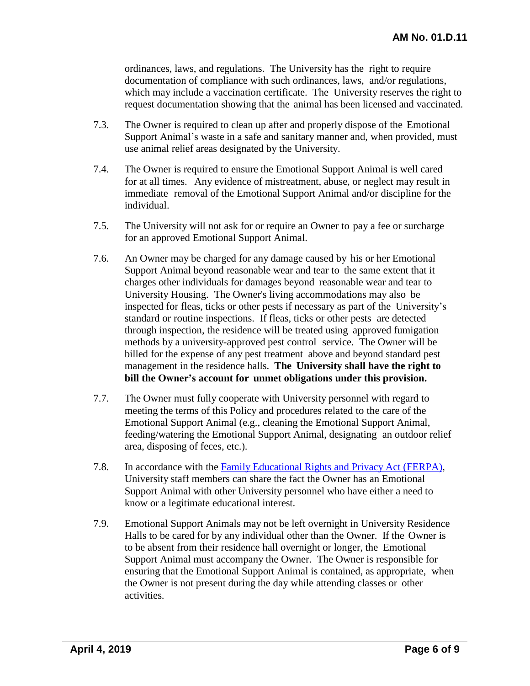ordinances, laws, and regulations. The University has the right to require documentation of compliance with such ordinances, laws, and/or regulations, which may include a vaccination certificate. The University reserves the right to request documentation showing that the animal has been licensed and vaccinated.

- 7.3. The Owner is required to clean up after and properly dispose of the Emotional Support Animal's waste in a safe and sanitary manner and, when provided, must use animal relief areas designated by the University.
- 7.4. The Owner is required to ensure the Emotional Support Animal is well cared for at all times. Any evidence of mistreatment, abuse, or neglect may result in immediate removal of the Emotional Support Animal and/or discipline for the individual.
- 7.5. The University will not ask for or require an Owner to pay a fee or surcharge for an approved Emotional Support Animal.
- 7.6. An Owner may be charged for any damage caused by his or her Emotional Support Animal beyond reasonable wear and tear to the same extent that it charges other individuals for damages beyond reasonable wear and tear to University Housing. The Owner's living accommodations may also be inspected for fleas, ticks or other pests if necessary as part of the University's standard or routine inspections. If fleas, ticks or other pests are detected through inspection, the residence will be treated using approved fumigation methods by a university-approved pest control service. The Owner will be billed for the expense of any pest treatment above and beyond standard pest management in the residence halls. **The University shall have the right to bill the Owner's account for unmet obligations under this provision.**
- 7.7. The Owner must fully cooperate with University personnel with regard to meeting the terms of this Policy and procedures related to the care of the Emotional Support Animal (e.g., cleaning the Emotional Support Animal, feeding/watering the Emotional Support Animal, designating an outdoor relief area, disposing of feces, etc.).
- 7.8. In accordance with the Family Educational Rights and Privacy [Act \(FERPA\),](https://www2.ed.gov/policy/gen/guid/fpco/ferpa/index.html) University staff members can share the fact the Owner has an Emotional Support Animal with other University personnel who have either a need to know or a legitimate educational interest.
- 7.9. Emotional Support Animals may not be left overnight in University Residence Halls to be cared for by any individual other than the Owner. If the Owner is to be absent from their residence hall overnight or longer, the Emotional Support Animal must accompany the Owner. The Owner is responsible for ensuring that the Emotional Support Animal is contained, as appropriate, when the Owner is not present during the day while attending classes or other activities.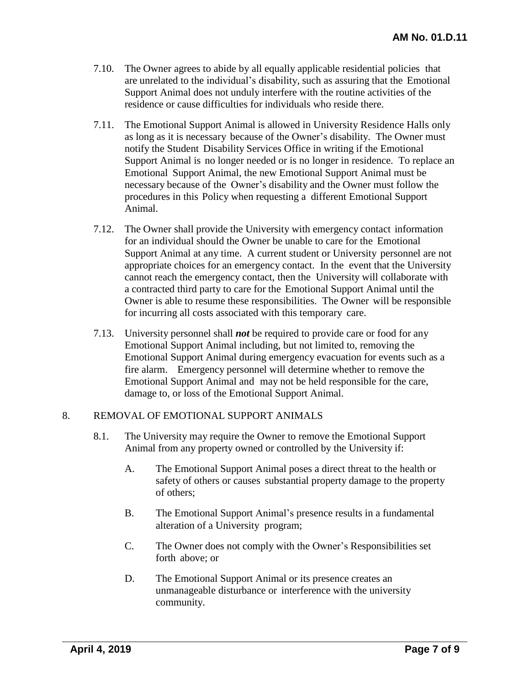- 7.10. The Owner agrees to abide by all equally applicable residential policies that are unrelated to the individual's disability, such as assuring that the Emotional Support Animal does not unduly interfere with the routine activities of the residence or cause difficulties for individuals who reside there.
- 7.11. The Emotional Support Animal is allowed in University Residence Halls only as long as it is necessary because of the Owner's disability. The Owner must notify the Student Disability Services Office in writing if the Emotional Support Animal is no longer needed or is no longer in residence. To replace an Emotional Support Animal, the new Emotional Support Animal must be necessary because of the Owner's disability and the Owner must follow the procedures in this Policy when requesting a different Emotional Support Animal.
- 7.12. The Owner shall provide the University with emergency contact information for an individual should the Owner be unable to care for the Emotional Support Animal at any time. A current student or University personnel are not appropriate choices for an emergency contact. In the event that the University cannot reach the emergency contact, then the University will collaborate with a contracted third party to care for the Emotional Support Animal until the Owner is able to resume these responsibilities. The Owner will be responsible for incurring all costs associated with this temporary care.
- 7.13. University personnel shall *not* be required to provide care or food for any Emotional Support Animal including, but not limited to, removing the Emotional Support Animal during emergency evacuation for events such as a fire alarm. Emergency personnel will determine whether to remove the Emotional Support Animal and may not be held responsible for the care, damage to, or loss of the Emotional Support Animal.

### 8. REMOVAL OF EMOTIONAL SUPPORT ANIMALS

- 8.1. The University may require the Owner to remove the Emotional Support Animal from any property owned or controlled by the University if:
	- A. The Emotional Support Animal poses a direct threat to the health or safety of others or causes substantial property damage to the property of others;
	- B. The Emotional Support Animal's presence results in a fundamental alteration of a University program;
	- C. The Owner does not comply with the Owner's Responsibilities set forth above; or
	- D. The Emotional Support Animal or its presence creates an unmanageable disturbance or interference with the university community.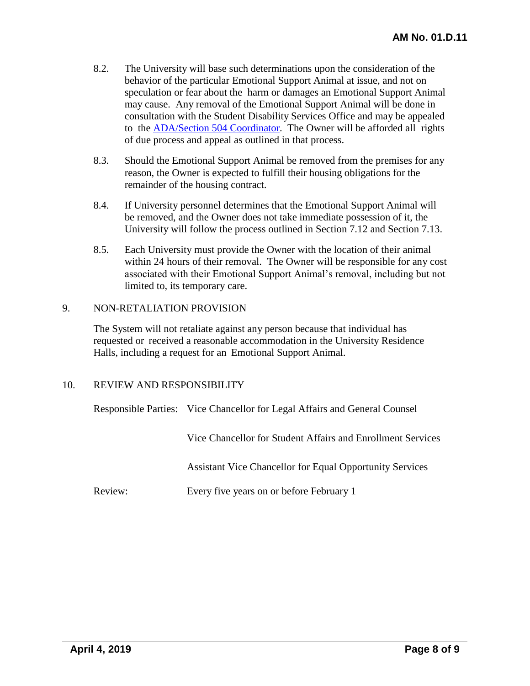- 8.2. The University will base such determinations upon the consideration of the behavior of the particular Emotional Support Animal at issue, and not on speculation or fear about the harm or damages an Emotional Support Animal may cause. Any removal of the Emotional Support Animal will be done in consultation with the Student Disability Services Office and may be appealed to the **[ADA/Section](http://www.uh.edu/equal-opportunity/ADA-504/) 504 Coordinator**. The Owner will be afforded all rights of due process and appeal as outlined in that process.
- 8.3. Should the Emotional Support Animal be removed from the premises for any reason, the Owner is expected to fulfill their housing obligations for the remainder of the housing contract.
- 8.4. If University personnel determines that the Emotional Support Animal will be removed, and the Owner does not take immediate possession of it, the University will follow the process outlined in Section 7.12 and Section 7.13.
- 8.5. Each University must provide the Owner with the location of their animal within 24 hours of their removal. The Owner will be responsible for any cost associated with their Emotional Support Animal's removal, including but not limited to, its temporary care.

### 9. NON-RETALIATION PROVISION

The System will not retaliate against any person because that individual has requested or received a reasonable accommodation in the University Residence Halls, including a request for an Emotional Support Animal.

### 10. REVIEW AND RESPONSIBILITY

Responsible Parties: Vice Chancellor for Legal Affairs and General Counsel

Vice Chancellor for Student Affairs and Enrollment Services

Assistant Vice Chancellor for Equal Opportunity Services

Review: Every five years on or before February 1